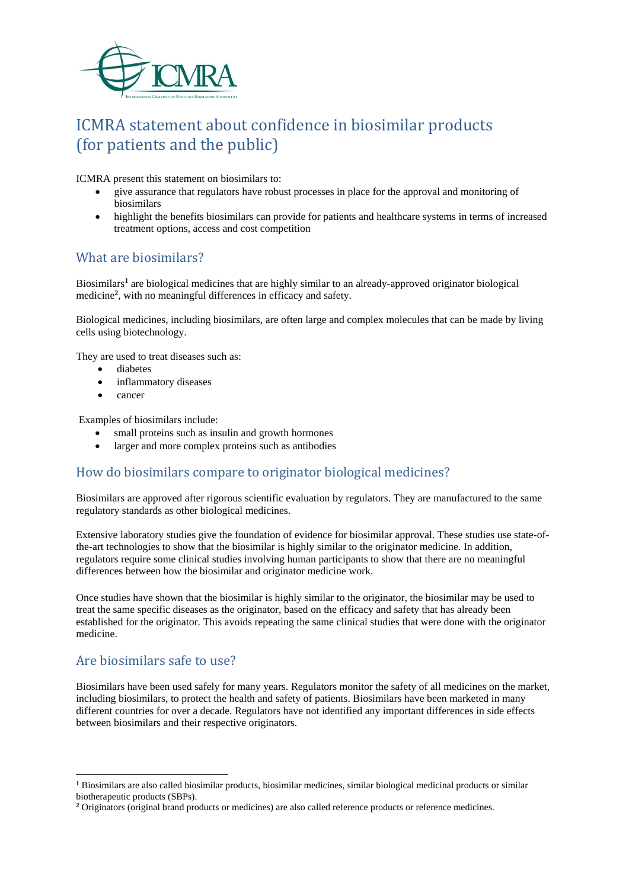

# ICMRA statement about confidence in biosimilar products (for patients and the public)

ICMRA present this statement on biosimilars to:

- give assurance that regulators have robust processes in place for the approval and monitoring of biosimilars
- highlight the benefits biosimilars can provide for patients and healthcare systems in terms of increased treatment options, access and cost competition

## What are biosimilars?

Biosimilars**<sup>1</sup>** are biological medicines that are highly similar to an already-approved originator biological medicine<sup>2</sup>, with no meaningful differences in efficacy and safety.

Biological medicines, including biosimilars, are often large and complex molecules that can be made by living cells using biotechnology.

They are used to treat diseases such as:

- diabetes
- inflammatory diseases
- cancer

Examples of biosimilars include:

- small proteins such as insulin and growth hormones
- larger and more complex proteins such as antibodies

## How do biosimilars compare to originator biological medicines?

Biosimilars are approved after rigorous scientific evaluation by regulators. They are manufactured to the same regulatory standards as other biological medicines.

Extensive laboratory studies give the foundation of evidence for biosimilar approval. These studies use state-ofthe-art technologies to show that the biosimilar is highly similar to the originator medicine. In addition, regulators require some clinical studies involving human participants to show that there are no meaningful differences between how the biosimilar and originator medicine work.

Once studies have shown that the biosimilar is highly similar to the originator, the biosimilar may be used to treat the same specific diseases as the originator, based on the efficacy and safety that has already been established for the originator. This avoids repeating the same clinical studies that were done with the originator medicine.

# Are biosimilars safe to use?

**.** 

Biosimilars have been used safely for many years. Regulators monitor the safety of all medicines on the market, including biosimilars, to protect the health and safety of patients. Biosimilars have been marketed in many different countries for over a decade. Regulators have not identified any important differences in side effects between biosimilars and their respective originators.

**<sup>1</sup>** Biosimilars are also called biosimilar products, biosimilar medicines, similar biological medicinal products or similar biotherapeutic products (SBPs).

**<sup>2</sup>** Originators (original brand products or medicines) are also called reference products or reference medicines.